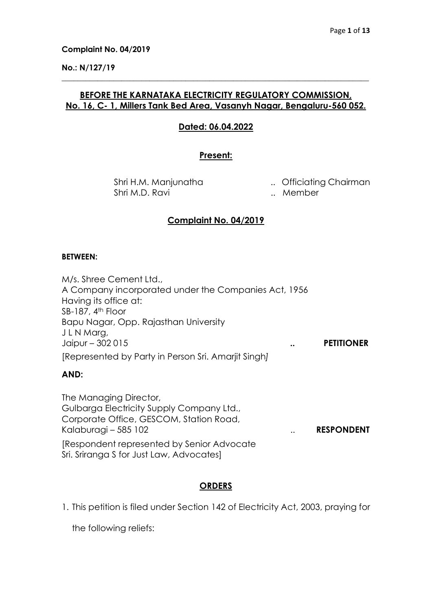### No.: N/127/19

# BEFORE THE KARNATAKA ELECTRICITY REGULATORY COMMISSION, No. 16, C- 1, Millers Tank Bed Area, Vasanyh Nagar, Bengaluru-560 052.

\_\_\_\_\_\_\_\_\_\_\_\_\_\_\_\_\_\_\_\_\_\_\_\_\_\_\_\_\_\_\_\_\_\_\_\_\_\_\_\_\_\_\_\_\_\_\_\_\_\_\_\_\_\_\_\_\_\_\_\_\_\_\_\_\_\_\_\_\_\_\_\_\_\_\_\_\_

## Dated: 06.04.2022

## Present:

Shri M.D. Ravi **... Member** 

Shri H.M. Manjunatha ... Officiating Chairman

# Complaint No. 04/2019

### BETWEEN:

M/s. Shree Cement Ltd., A Company incorporated under the Companies Act, 1956 Having its office at: SB-187, 4<sup>th</sup> Floor Bapu Nagar, Opp. Rajasthan University J L N Marg, Jaipur – 302 015 .. PETITIONER [Represented by Party in Person Sri. Amarjit Singh]

# AND:

The Managing Director, Gulbarga Electricity Supply Company Ltd., Corporate Office, GESCOM, Station Road, Kalaburagi – 585 102 **... RESPONDENT** [Respondent represented by Senior Advocate Sri. Sriranga S for Just Law, Advocates]

# **ORDERS**

1. This petition is filed under Section 142 of Electricity Act, 2003, praying for

the following reliefs: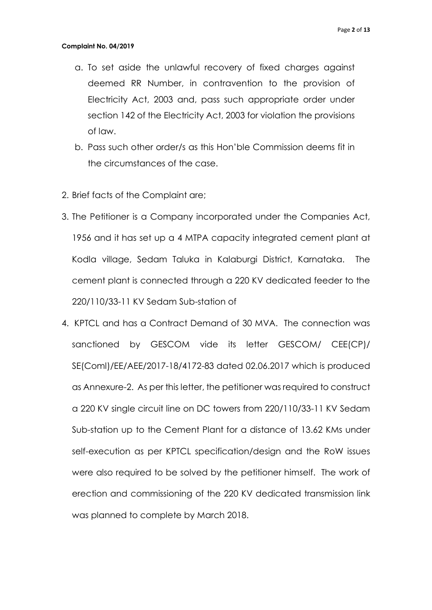- a. To set aside the unlawful recovery of fixed charges against deemed RR Number, in contravention to the provision of Electricity Act, 2003 and, pass such appropriate order under section 142 of the Electricity Act, 2003 for violation the provisions of law.
- b. Pass such other order/s as this Hon'ble Commission deems fit in the circumstances of the case.
- 2. Brief facts of the Complaint are;
- 3. The Petitioner is a Company incorporated under the Companies Act, 1956 and it has set up a 4 MTPA capacity integrated cement plant at Kodla village, Sedam Taluka in Kalaburgi District, Karnataka. The cement plant is connected through a 220 KV dedicated feeder to the 220/110/33-11 KV Sedam Sub-station of
- 4. KPTCL and has a Contract Demand of 30 MVA. The connection was sanctioned by GESCOM vide its letter GESCOM/ CEE(CP)/ SE(Coml)/EE/AEE/2017-18/4172-83 dated 02.06.2017 which is produced as Annexure-2. As per this letter, the petitioner was required to construct a 220 KV single circuit line on DC towers from 220/110/33-11 KV Sedam Sub-station up to the Cement Plant for a distance of 13.62 KMs under self-execution as per KPTCL specification/design and the RoW issues were also required to be solved by the petitioner himself. The work of erection and commissioning of the 220 KV dedicated transmission link was planned to complete by March 2018.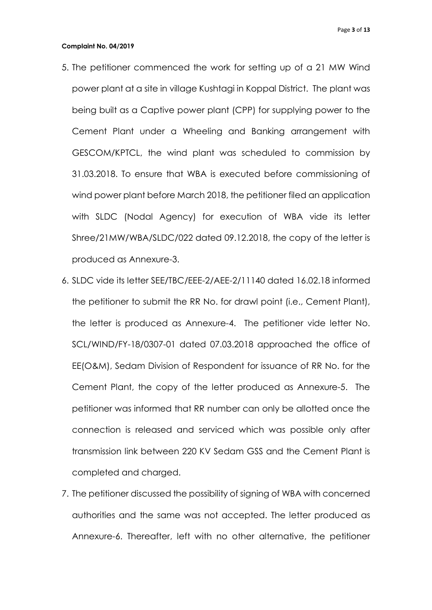- 5. The petitioner commenced the work for setting up of a 21 MW Wind power plant at a site in village Kushtagi in Koppal District. The plant was being built as a Captive power plant (CPP) for supplying power to the Cement Plant under a Wheeling and Banking arrangement with GESCOM/KPTCL, the wind plant was scheduled to commission by 31.03.2018. To ensure that WBA is executed before commissioning of wind power plant before March 2018, the petitioner filed an application with SLDC (Nodal Agency) for execution of WBA vide its letter Shree/21MW/WBA/SLDC/022 dated 09.12.2018, the copy of the letter is produced as Annexure-3.
- 6. SLDC vide its letter SEE/TBC/EEE-2/AEE-2/11140 dated 16.02.18 informed the petitioner to submit the RR No. for drawl point (i.e., Cement Plant), the letter is produced as Annexure-4. The petitioner vide letter No. SCL/WIND/FY-18/0307-01 dated 07.03.2018 approached the office of EE(O&M), Sedam Division of Respondent for issuance of RR No. for the Cement Plant, the copy of the letter produced as Annexure-5. The petitioner was informed that RR number can only be allotted once the connection is released and serviced which was possible only after transmission link between 220 KV Sedam GSS and the Cement Plant is completed and charged.
- 7. The petitioner discussed the possibility of signing of WBA with concerned authorities and the same was not accepted. The letter produced as Annexure-6. Thereafter, left with no other alternative, the petitioner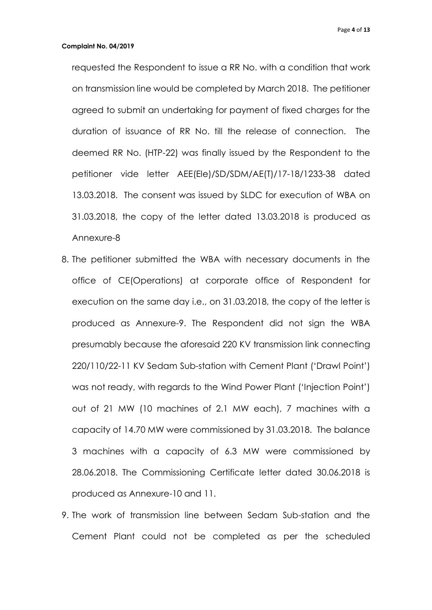requested the Respondent to issue a RR No. with a condition that work on transmission line would be completed by March 2018. The petitioner agreed to submit an undertaking for payment of fixed charges for the duration of issuance of RR No. till the release of connection. The deemed RR No. (HTP-22) was finally issued by the Respondent to the petitioner vide letter AEE(Ele)/SD/SDM/AE(T)/17-18/1233-38 dated 13.03.2018. The consent was issued by SLDC for execution of WBA on 31.03.2018, the copy of the letter dated 13.03.2018 is produced as Annexure-8

- 8. The petitioner submitted the WBA with necessary documents in the office of CE(Operations) at corporate office of Respondent for execution on the same day i.e., on 31.03.2018, the copy of the letter is produced as Annexure-9. The Respondent did not sign the WBA presumably because the aforesaid 220 KV transmission link connecting 220/110/22-11 KV Sedam Sub-station with Cement Plant ('Drawl Point') was not ready, with regards to the Wind Power Plant ('Injection Point') out of 21 MW (10 machines of 2.1 MW each), 7 machines with a capacity of 14.70 MW were commissioned by 31.03.2018. The balance 3 machines with a capacity of 6.3 MW were commissioned by 28.06.2018. The Commissioning Certificate letter dated 30.06.2018 is produced as Annexure-10 and 11.
- 9. The work of transmission line between Sedam Sub-station and the Cement Plant could not be completed as per the scheduled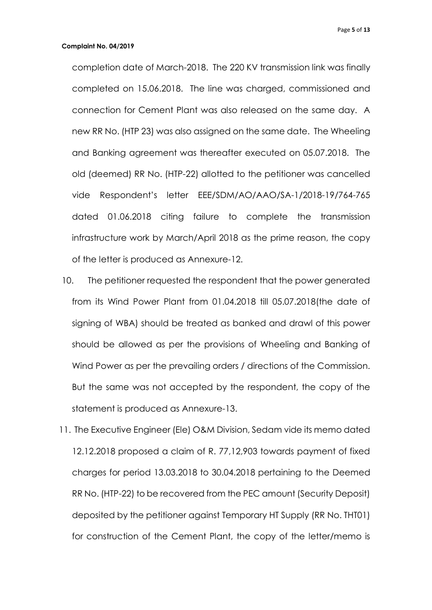completion date of March-2018. The 220 KV transmission link was finally completed on 15.06.2018. The line was charged, commissioned and connection for Cement Plant was also released on the same day. A new RR No. (HTP 23) was also assigned on the same date. The Wheeling and Banking agreement was thereafter executed on 05.07.2018. The old (deemed) RR No. (HTP-22) allotted to the petitioner was cancelled vide Respondent's letter EEE/SDM/AO/AAO/SA-1/2018-19/764-765 dated 01.06.2018 citing failure to complete the transmission infrastructure work by March/April 2018 as the prime reason, the copy of the letter is produced as Annexure-12.

- 10. The petitioner requested the respondent that the power generated from its Wind Power Plant from 01.04.2018 till 05.07.2018(the date of signing of WBA) should be treated as banked and drawl of this power should be allowed as per the provisions of Wheeling and Banking of Wind Power as per the prevailing orders / directions of the Commission. But the same was not accepted by the respondent, the copy of the statement is produced as Annexure-13.
- 11. The Executive Engineer (Ele) O&M Division, Sedam vide its memo dated 12.12.2018 proposed a claim of R. 77,12,903 towards payment of fixed charges for period 13.03.2018 to 30.04.2018 pertaining to the Deemed RR No. (HTP-22) to be recovered from the PEC amount (Security Deposit) deposited by the petitioner against Temporary HT Supply (RR No. THT01) for construction of the Cement Plant, the copy of the letter/memo is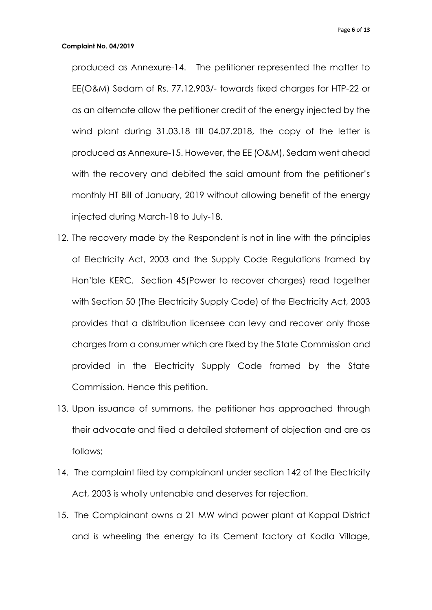produced as Annexure-14. The petitioner represented the matter to EE(O&M) Sedam of Rs. 77,12,903/- towards fixed charges for HTP-22 or as an alternate allow the petitioner credit of the energy injected by the wind plant during 31.03.18 till 04.07.2018, the copy of the letter is produced as Annexure-15. However, the EE (O&M), Sedam went ahead with the recovery and debited the said amount from the petitioner's monthly HT Bill of January, 2019 without allowing benefit of the energy injected during March-18 to July-18.

- 12. The recovery made by the Respondent is not in line with the principles of Electricity Act, 2003 and the Supply Code Regulations framed by Hon'ble KERC. Section 45(Power to recover charges) read together with Section 50 (The Electricity Supply Code) of the Electricity Act, 2003 provides that a distribution licensee can levy and recover only those charges from a consumer which are fixed by the State Commission and provided in the Electricity Supply Code framed by the State Commission. Hence this petition.
- 13. Upon issuance of summons, the petitioner has approached through their advocate and filed a detailed statement of objection and are as follows;
- 14. The complaint filed by complainant under section 142 of the Electricity Act, 2003 is wholly untenable and deserves for rejection.
- 15. The Complainant owns a 21 MW wind power plant at Koppal District and is wheeling the energy to its Cement factory at Kodla Village,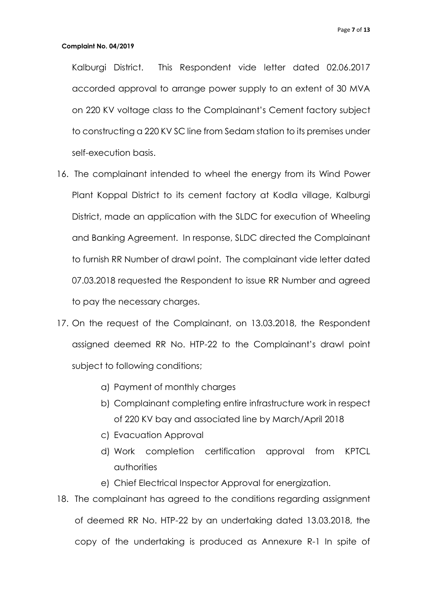Kalburgi District. This Respondent vide letter dated 02.06.2017 accorded approval to arrange power supply to an extent of 30 MVA on 220 KV voltage class to the Complainant's Cement factory subject to constructing a 220 KV SC line from Sedam station to its premises under self-execution basis.

- 16. The complainant intended to wheel the energy from its Wind Power Plant Koppal District to its cement factory at Kodla village, Kalburgi District, made an application with the SLDC for execution of Wheeling and Banking Agreement. In response, SLDC directed the Complainant to furnish RR Number of drawl point. The complainant vide letter dated 07.03.2018 requested the Respondent to issue RR Number and agreed to pay the necessary charges.
- 17. On the request of the Complainant, on 13.03.2018, the Respondent assigned deemed RR No. HTP-22 to the Complainant's drawl point subject to following conditions;
	- a) Payment of monthly charges
	- b) Complainant completing entire infrastructure work in respect of 220 KV bay and associated line by March/April 2018
	- c) Evacuation Approval
	- d) Work completion certification approval from KPTCL authorities
	- e) Chief Electrical Inspector Approval for energization.
- 18. The complainant has agreed to the conditions regarding assignment of deemed RR No. HTP-22 by an undertaking dated 13.03.2018, the copy of the undertaking is produced as Annexure R-1 In spite of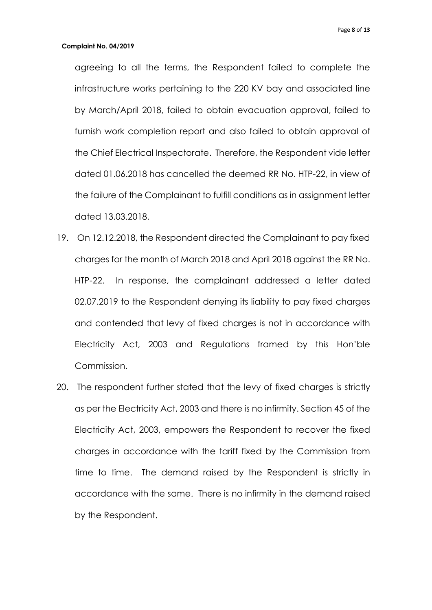agreeing to all the terms, the Respondent failed to complete the infrastructure works pertaining to the 220 KV bay and associated line by March/April 2018, failed to obtain evacuation approval, failed to furnish work completion report and also failed to obtain approval of the Chief Electrical Inspectorate. Therefore, the Respondent vide letter dated 01.06.2018 has cancelled the deemed RR No. HTP-22, in view of the failure of the Complainant to fulfill conditions as in assignment letter dated 13.03.2018.

- 19. On 12.12.2018, the Respondent directed the Complainant to pay fixed charges for the month of March 2018 and April 2018 against the RR No. HTP-22. In response, the complainant addressed a letter dated 02.07.2019 to the Respondent denying its liability to pay fixed charges and contended that levy of fixed charges is not in accordance with Electricity Act, 2003 and Regulations framed by this Hon'ble Commission.
- 20. The respondent further stated that the levy of fixed charges is strictly as per the Electricity Act, 2003 and there is no infirmity. Section 45 of the Electricity Act, 2003, empowers the Respondent to recover the fixed charges in accordance with the tariff fixed by the Commission from time to time. The demand raised by the Respondent is strictly in accordance with the same. There is no infirmity in the demand raised by the Respondent.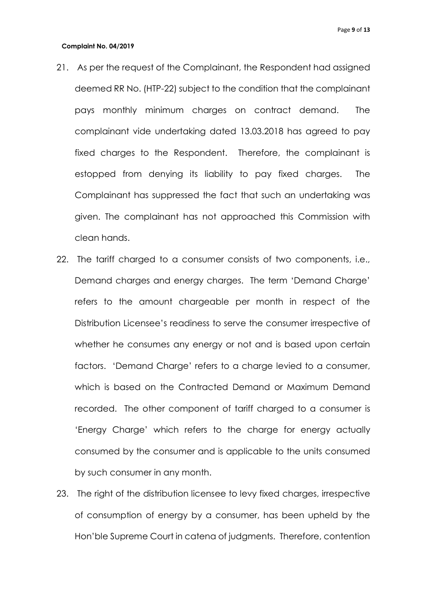- 21. As per the request of the Complainant, the Respondent had assigned deemed RR No. (HTP-22) subject to the condition that the complainant pays monthly minimum charges on contract demand. The complainant vide undertaking dated 13.03.2018 has agreed to pay fixed charges to the Respondent. Therefore, the complainant is estopped from denying its liability to pay fixed charges. The Complainant has suppressed the fact that such an undertaking was given. The complainant has not approached this Commission with clean hands.
- 22. The tariff charged to a consumer consists of two components, i.e., Demand charges and energy charges. The term 'Demand Charge' refers to the amount chargeable per month in respect of the Distribution Licensee's readiness to serve the consumer irrespective of whether he consumes any energy or not and is based upon certain factors. 'Demand Charge' refers to a charge levied to a consumer, which is based on the Contracted Demand or Maximum Demand recorded. The other component of tariff charged to a consumer is 'Energy Charge' which refers to the charge for energy actually consumed by the consumer and is applicable to the units consumed by such consumer in any month.
- 23. The right of the distribution licensee to levy fixed charges, irrespective of consumption of energy by a consumer, has been upheld by the Hon'ble Supreme Court in catena of judgments. Therefore, contention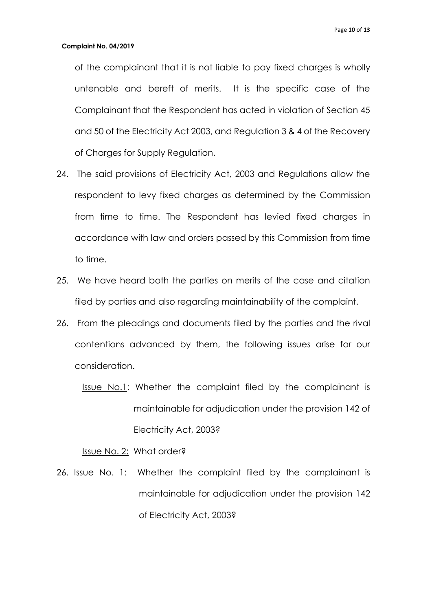of the complainant that it is not liable to pay fixed charges is wholly untenable and bereft of merits. It is the specific case of the Complainant that the Respondent has acted in violation of Section 45 and 50 of the Electricity Act 2003, and Regulation 3 & 4 of the Recovery of Charges for Supply Regulation.

- 24. The said provisions of Electricity Act, 2003 and Regulations allow the respondent to levy fixed charges as determined by the Commission from time to time. The Respondent has levied fixed charges in accordance with law and orders passed by this Commission from time to time.
- 25. We have heard both the parties on merits of the case and citation filed by parties and also regarding maintainability of the complaint.
- 26. From the pleadings and documents filed by the parties and the rival contentions advanced by them, the following issues arise for our consideration.
	- **Issue No.1:** Whether the complaint filed by the complainant is maintainable for adjudication under the provision 142 of Electricity Act, 2003?

### Issue No. 2: What order?

26. Issue No. 1: Whether the complaint filed by the complainant is maintainable for adjudication under the provision 142 of Electricity Act, 2003?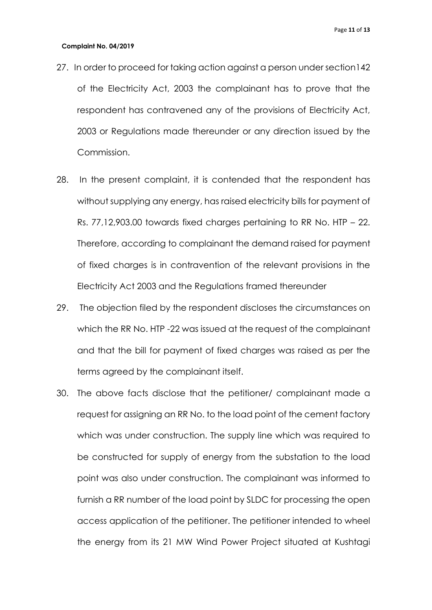- 27. In order to proceed for taking action against a person under section142 of the Electricity Act, 2003 the complainant has to prove that the respondent has contravened any of the provisions of Electricity Act, 2003 or Regulations made thereunder or any direction issued by the Commission.
- 28. In the present complaint, it is contended that the respondent has without supplying any energy, has raised electricity bills for payment of Rs. 77,12,903.00 towards fixed charges pertaining to RR No. HTP – 22. Therefore, according to complainant the demand raised for payment of fixed charges is in contravention of the relevant provisions in the Electricity Act 2003 and the Regulations framed thereunder
- 29. The objection filed by the respondent discloses the circumstances on which the RR No. HTP -22 was issued at the request of the complainant and that the bill for payment of fixed charges was raised as per the terms agreed by the complainant itself.
- 30. The above facts disclose that the petitioner/ complainant made a request for assigning an RR No. to the load point of the cement factory which was under construction. The supply line which was required to be constructed for supply of energy from the substation to the load point was also under construction. The complainant was informed to furnish a RR number of the load point by SLDC for processing the open access application of the petitioner. The petitioner intended to wheel the energy from its 21 MW Wind Power Project situated at Kushtagi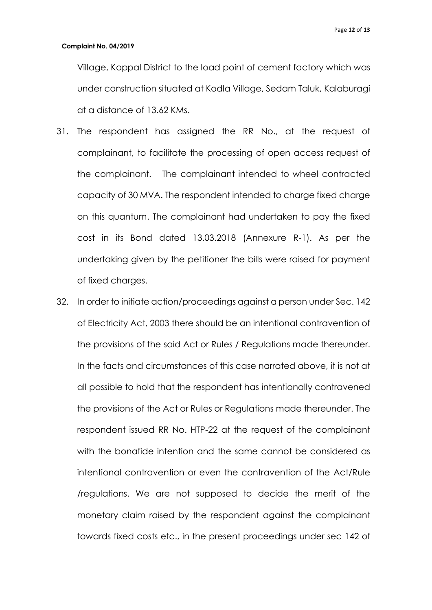Village, Koppal District to the load point of cement factory which was under construction situated at Kodla Village, Sedam Taluk, Kalaburagi at a distance of 13.62 KMs.

- 31. The respondent has assigned the RR No., at the request of complainant, to facilitate the processing of open access request of the complainant. The complainant intended to wheel contracted capacity of 30 MVA. The respondent intended to charge fixed charge on this quantum. The complainant had undertaken to pay the fixed cost in its Bond dated 13.03.2018 (Annexure R-1). As per the undertaking given by the petitioner the bills were raised for payment of fixed charges.
- 32. In order to initiate action/proceedings against a person under Sec. 142 of Electricity Act, 2003 there should be an intentional contravention of the provisions of the said Act or Rules / Regulations made thereunder. In the facts and circumstances of this case narrated above, it is not at all possible to hold that the respondent has intentionally contravened the provisions of the Act or Rules or Regulations made thereunder. The respondent issued RR No. HTP-22 at the request of the complainant with the bonafide intention and the same cannot be considered as intentional contravention or even the contravention of the Act/Rule /regulations. We are not supposed to decide the merit of the monetary claim raised by the respondent against the complainant towards fixed costs etc., in the present proceedings under sec 142 of